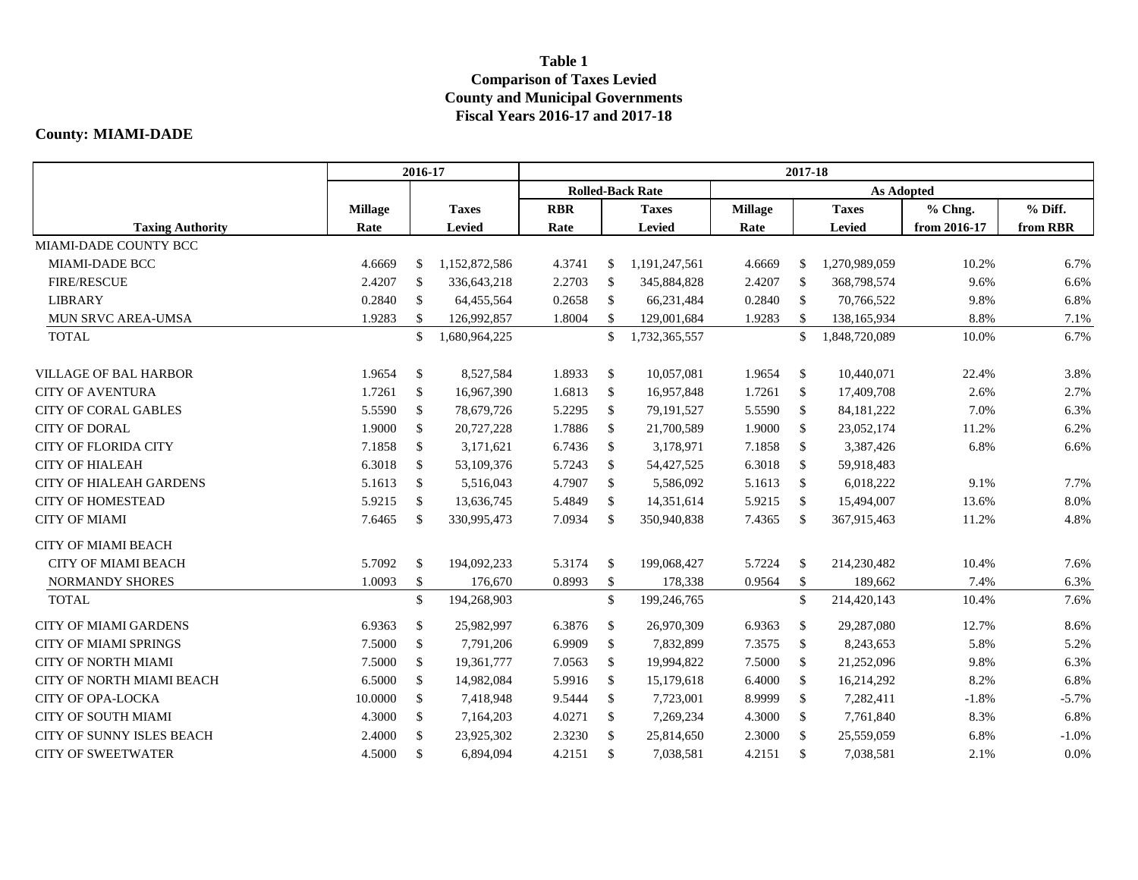## **Table 1 Comparison of Taxes Levied County and Municipal Governments Fiscal Years 2016-17 and 2017-18**

## **County: MIAMI-DADE**

|                                  | 2016-17        |              |               | 2017-18                 |               |               |                |               |               |              |          |  |
|----------------------------------|----------------|--------------|---------------|-------------------------|---------------|---------------|----------------|---------------|---------------|--------------|----------|--|
|                                  |                |              |               | <b>Rolled-Back Rate</b> |               |               |                |               |               |              |          |  |
|                                  | <b>Millage</b> |              | <b>Taxes</b>  | <b>RBR</b>              |               | <b>Taxes</b>  | <b>Millage</b> |               | <b>Taxes</b>  | % Chng.      | % Diff.  |  |
| <b>Taxing Authority</b>          | Rate           |              | <b>Levied</b> | Rate                    |               | <b>Levied</b> | Rate           |               | Levied        | from 2016-17 | from RBR |  |
| MIAMI-DADE COUNTY BCC            |                |              |               |                         |               |               |                |               |               |              |          |  |
| <b>MIAMI-DADE BCC</b>            | 4.6669         | \$           | 1,152,872,586 | 4.3741                  | \$            | 1,191,247,561 | 4.6669         | \$            | 1,270,989,059 | 10.2%        | 6.7%     |  |
| <b>FIRE/RESCUE</b>               | 2.4207         | \$           | 336,643,218   | 2.2703                  | <sup>\$</sup> | 345,884,828   | 2.4207         | $\mathbb{S}$  | 368,798,574   | 9.6%         | 6.6%     |  |
| <b>LIBRARY</b>                   | 0.2840         | $\mathbb{S}$ | 64,455,564    | 0.2658                  | -S            | 66,231,484    | 0.2840         | $\mathbb{S}$  | 70,766,522    | 9.8%         | 6.8%     |  |
| MUN SRVC AREA-UMSA               | 1.9283         | \$           | 126,992,857   | 1.8004                  | $\mathbb{S}$  | 129,001,684   | 1.9283         | $\mathbb{S}$  | 138,165,934   | 8.8%         | 7.1%     |  |
| <b>TOTAL</b>                     |                | \$           | 1,680,964,225 |                         | \$            | 1,732,365,557 |                | $\mathbb{S}$  | 1,848,720,089 | 10.0%        | 6.7%     |  |
| <b>VILLAGE OF BAL HARBOR</b>     | 1.9654         | \$           | 8,527,584     | 1.8933                  | $\mathcal{S}$ | 10,057,081    | 1.9654         | $\mathbb{S}$  | 10,440,071    | 22.4%        | 3.8%     |  |
| <b>CITY OF AVENTURA</b>          | 1.7261         | \$           | 16,967,390    | 1.6813                  | <sup>\$</sup> | 16,957,848    | 1.7261         | <sup>\$</sup> | 17,409,708    | 2.6%         | 2.7%     |  |
| <b>CITY OF CORAL GABLES</b>      | 5.5590         | $\mathbb{S}$ | 78,679,726    | 5.2295                  | $\mathbb{S}$  | 79,191,527    | 5.5590         | $\mathbb{S}$  | 84, 181, 222  | 7.0%         | 6.3%     |  |
| <b>CITY OF DORAL</b>             | 1.9000         | $\mathbb{S}$ | 20,727,228    | 1.7886                  | $\mathbb{S}$  | 21,700,589    | 1.9000         | $\mathbb{S}$  | 23,052,174    | 11.2%        | 6.2%     |  |
| <b>CITY OF FLORIDA CITY</b>      | 7.1858         | $\mathbb{S}$ | 3,171,621     | 6.7436                  | $\mathcal{S}$ | 3,178,971     | 7.1858         | $\mathbb{S}$  | 3,387,426     | 6.8%         | 6.6%     |  |
| <b>CITY OF HIALEAH</b>           | 6.3018         | \$           | 53,109,376    | 5.7243                  | \$            | 54,427,525    | 6.3018         | \$            | 59,918,483    |              |          |  |
| <b>CITY OF HIALEAH GARDENS</b>   | 5.1613         | \$           | 5,516,043     | 4.7907                  | $\mathcal{S}$ | 5,586,092     | 5.1613         | $\mathbb{S}$  | 6,018,222     | 9.1%         | 7.7%     |  |
| <b>CITY OF HOMESTEAD</b>         | 5.9215         | $\mathbb{S}$ | 13,636,745    | 5.4849                  | $\mathcal{S}$ | 14,351,614    | 5.9215         | $\mathbb{S}$  | 15,494,007    | 13.6%        | 8.0%     |  |
| <b>CITY OF MIAMI</b>             | 7.6465         | \$           | 330,995,473   | 7.0934                  | <sup>\$</sup> | 350,940,838   | 7.4365         | \$            | 367,915,463   | 11.2%        | 4.8%     |  |
| <b>CITY OF MIAMI BEACH</b>       |                |              |               |                         |               |               |                |               |               |              |          |  |
| <b>CITY OF MIAMI BEACH</b>       | 5.7092         | \$           | 194,092,233   | 5.3174                  | <sup>\$</sup> | 199,068,427   | 5.7224         | \$            | 214,230,482   | 10.4%        | 7.6%     |  |
| <b>NORMANDY SHORES</b>           | 1.0093         | \$           | 176,670       | 0.8993                  | $\mathbb{S}$  | 178,338       | 0.9564         | $\mathbb{S}$  | 189,662       | 7.4%         | 6.3%     |  |
| <b>TOTAL</b>                     |                | \$           | 194,268,903   |                         | \$            | 199,246,765   |                | \$            | 214,420,143   | 10.4%        | 7.6%     |  |
| <b>CITY OF MIAMI GARDENS</b>     | 6.9363         | \$           | 25,982,997    | 6.3876                  | - \$          | 26,970,309    | 6.9363         | \$            | 29,287,080    | 12.7%        | 8.6%     |  |
| <b>CITY OF MIAMI SPRINGS</b>     | 7.5000         | $\mathbb{S}$ | 7,791,206     | 6.9909                  | $\mathcal{S}$ | 7,832,899     | 7.3575         | $\mathbb{S}$  | 8,243,653     | 5.8%         | 5.2%     |  |
| <b>CITY OF NORTH MIAMI</b>       | 7.5000         | \$           | 19,361,777    | 7.0563                  | $\mathcal{S}$ | 19,994,822    | 7.5000         | $\mathbb{S}$  | 21,252,096    | 9.8%         | 6.3%     |  |
| <b>CITY OF NORTH MIAMI BEACH</b> | 6.5000         | $\mathbb{S}$ | 14,982,084    | 5.9916                  | $\mathcal{S}$ | 15,179,618    | 6.4000         | $\mathbb{S}$  | 16,214,292    | 8.2%         | 6.8%     |  |
| <b>CITY OF OPA-LOCKA</b>         | 10.0000        | \$           | 7,418,948     | 9.5444                  | $\mathcal{S}$ | 7,723,001     | 8.9999         | $\mathbb{S}$  | 7,282,411     | $-1.8%$      | $-5.7%$  |  |
| <b>CITY OF SOUTH MIAMI</b>       | 4.3000         | \$           | 7,164,203     | 4.0271                  | $\mathcal{S}$ | 7,269,234     | 4.3000         | $\mathbb{S}$  | 7,761,840     | 8.3%         | 6.8%     |  |
| CITY OF SUNNY ISLES BEACH        | 2.4000         | $\mathbb{S}$ | 23,925,302    | 2.3230                  | <sup>\$</sup> | 25,814,650    | 2.3000         | $\mathbb{S}$  | 25,559,059    | 6.8%         | $-1.0%$  |  |
| <b>CITY OF SWEETWATER</b>        | 4.5000         | $\mathbb{S}$ | 6,894,094     | 4.2151                  | \$            | 7,038,581     | 4.2151         | <sup>\$</sup> | 7,038,581     | 2.1%         | 0.0%     |  |